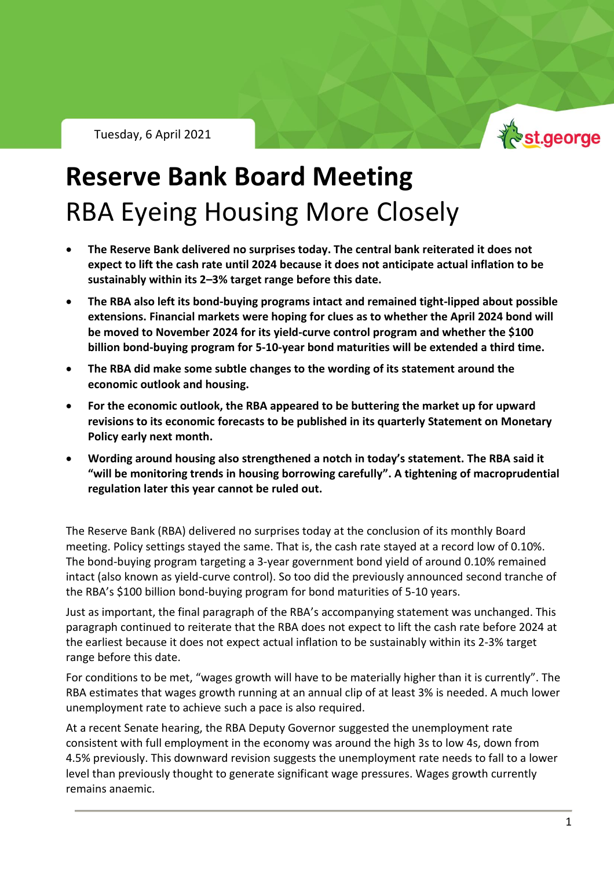Tuesday, 6 April 2021



## **Reserve Bank Board Meeting** RBA Eyeing Housing More Closely

- **The Reserve Bank delivered no surprises today. The central bank reiterated it does not expect to lift the cash rate until 2024 because it does not anticipate actual inflation to be sustainably within its 2–3% target range before this date.**
- **The RBA also left its bond-buying programs intact and remained tight-lipped about possible extensions. Financial markets were hoping for clues as to whether the April 2024 bond will be moved to November 2024 for its yield-curve control program and whether the \$100 billion bond-buying program for 5-10-year bond maturities will be extended a third time.**
- **The RBA did make some subtle changes to the wording of its statement around the economic outlook and housing.**
- **For the economic outlook, the RBA appeared to be buttering the market up for upward revisions to its economic forecasts to be published in its quarterly Statement on Monetary Policy early next month.**
- **Wording around housing also strengthened a notch in today's statement. The RBA said it "will be monitoring trends in housing borrowing carefully". A tightening of macroprudential regulation later this year cannot be ruled out.**

The Reserve Bank (RBA) delivered no surprises today at the conclusion of its monthly Board meeting. Policy settings stayed the same. That is, the cash rate stayed at a record low of 0.10%. The bond-buying program targeting a 3-year government bond yield of around 0.10% remained intact (also known as yield-curve control). So too did the previously announced second tranche of the RBA's \$100 billion bond-buying program for bond maturities of 5-10 years.

Just as important, the final paragraph of the RBA's accompanying statement was unchanged. This paragraph continued to reiterate that the RBA does not expect to lift the cash rate before 2024 at the earliest because it does not expect actual inflation to be sustainably within its 2-3% target range before this date.

For conditions to be met, "wages growth will have to be materially higher than it is currently". The RBA estimates that wages growth running at an annual clip of at least 3% is needed. A much lower unemployment rate to achieve such a pace is also required.

At a recent Senate hearing, the RBA Deputy Governor suggested the unemployment rate consistent with full employment in the economy was around the high 3s to low 4s, down from 4.5% previously. This downward revision suggests the unemployment rate needs to fall to a lower level than previously thought to generate significant wage pressures. Wages growth currently remains anaemic.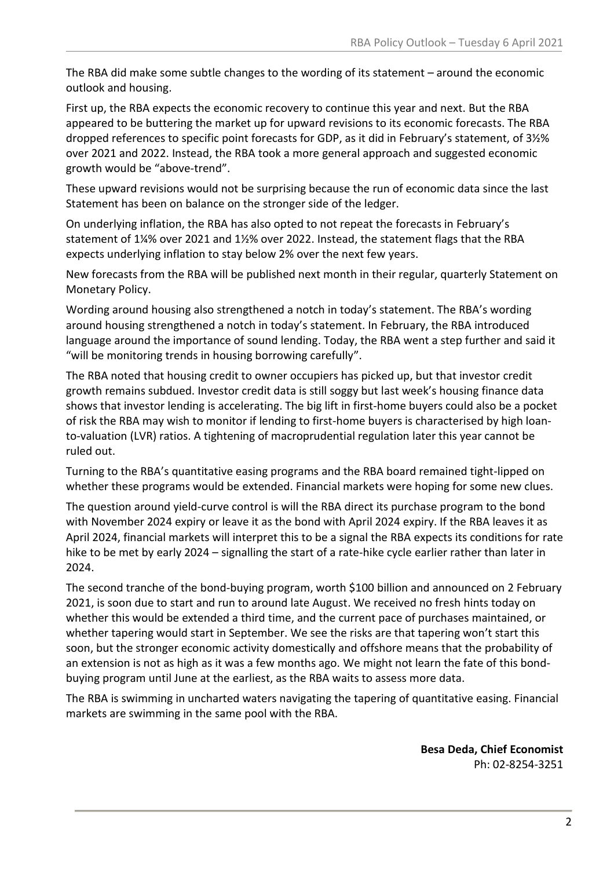The RBA did make some subtle changes to the wording of its statement – around the economic outlook and housing.

First up, the RBA expects the economic recovery to continue this year and next. But the RBA appeared to be buttering the market up for upward revisions to its economic forecasts. The RBA dropped references to specific point forecasts for GDP, as it did in February's statement, of 3½% over 2021 and 2022. Instead, the RBA took a more general approach and suggested economic growth would be "above-trend".

These upward revisions would not be surprising because the run of economic data since the last Statement has been on balance on the stronger side of the ledger.

On underlying inflation, the RBA has also opted to not repeat the forecasts in February's statement of 1¼% over 2021 and 1½% over 2022. Instead, the statement flags that the RBA expects underlying inflation to stay below 2% over the next few years.

New forecasts from the RBA will be published next month in their regular, quarterly Statement on Monetary Policy.

Wording around housing also strengthened a notch in today's statement. The RBA's wording around housing strengthened a notch in today's statement. In February, the RBA introduced language around the importance of sound lending. Today, the RBA went a step further and said it "will be monitoring trends in housing borrowing carefully".

The RBA noted that housing credit to owner occupiers has picked up, but that investor credit growth remains subdued. Investor credit data is still soggy but last week's housing finance data shows that investor lending is accelerating. The big lift in first-home buyers could also be a pocket of risk the RBA may wish to monitor if lending to first-home buyers is characterised by high loanto-valuation (LVR) ratios. A tightening of macroprudential regulation later this year cannot be ruled out.

Turning to the RBA's quantitative easing programs and the RBA board remained tight-lipped on whether these programs would be extended. Financial markets were hoping for some new clues.

The question around yield-curve control is will the RBA direct its purchase program to the bond with November 2024 expiry or leave it as the bond with April 2024 expiry. If the RBA leaves it as April 2024, financial markets will interpret this to be a signal the RBA expects its conditions for rate hike to be met by early 2024 – signalling the start of a rate-hike cycle earlier rather than later in 2024.

The second tranche of the bond-buying program, worth \$100 billion and announced on 2 February 2021, is soon due to start and run to around late August. We received no fresh hints today on whether this would be extended a third time, and the current pace of purchases maintained, or whether tapering would start in September. We see the risks are that tapering won't start this soon, but the stronger economic activity domestically and offshore means that the probability of an extension is not as high as it was a few months ago. We might not learn the fate of this bondbuying program until June at the earliest, as the RBA waits to assess more data.

The RBA is swimming in uncharted waters navigating the tapering of quantitative easing. Financial markets are swimming in the same pool with the RBA.

> **Besa Deda, Chief Economist** Ph: 02-8254-3251